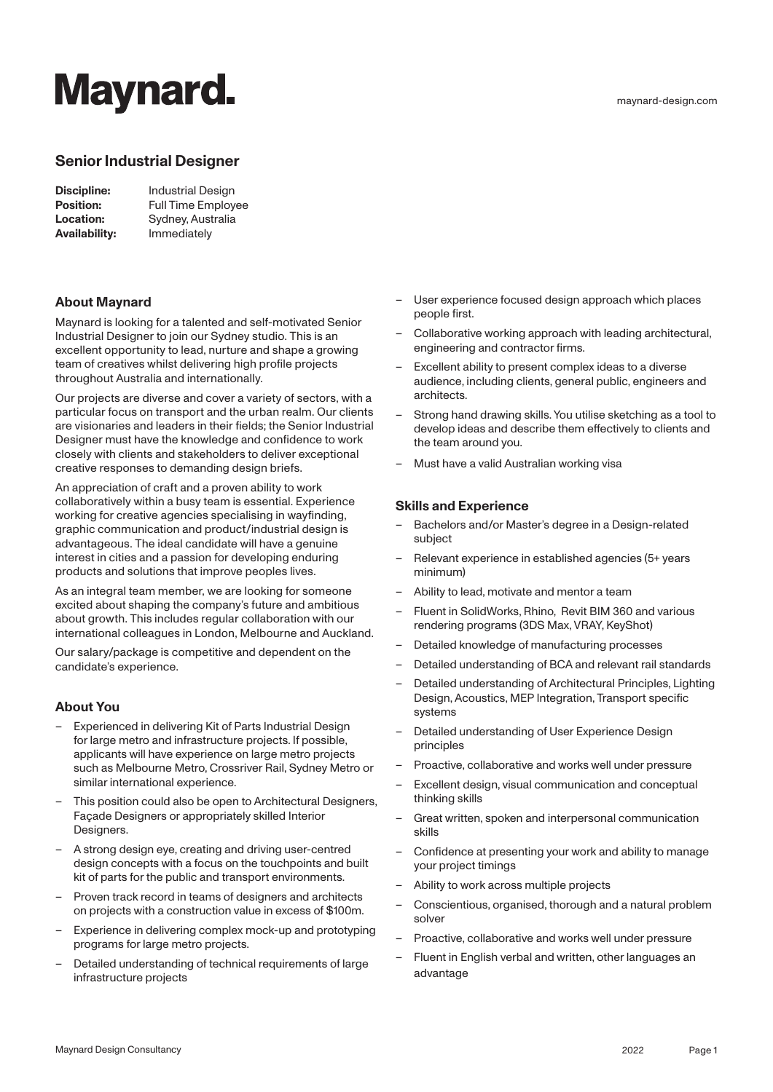# **Maynard.**

## **Senior Industrial Designer**

| Discipline:      | <b>Industrial Design</b>  |
|------------------|---------------------------|
| <b>Position:</b> | <b>Full Time Employee</b> |
| <b>Location:</b> | Sydney, Australia         |
| Availability:    | Immediately               |

### **About Maynard**

Maynard is looking for a talented and self-motivated Senior Industrial Designer to join our Sydney studio. This is an excellent opportunity to lead, nurture and shape a growing team of creatives whilst delivering high profile projects throughout Australia and internationally.

Our projects are diverse and cover a variety of sectors, with a particular focus on transport and the urban realm. Our clients are visionaries and leaders in their fields; the Senior Industrial Designer must have the knowledge and confidence to work closely with clients and stakeholders to deliver exceptional creative responses to demanding design briefs.

An appreciation of craft and a proven ability to work collaboratively within a busy team is essential. Experience working for creative agencies specialising in wayfinding, graphic communication and product/industrial design is advantageous. The ideal candidate will have a genuine interest in cities and a passion for developing enduring products and solutions that improve peoples lives.

As an integral team member, we are looking for someone excited about shaping the company's future and ambitious about growth. This includes regular collaboration with our international colleagues in London, Melbourne and Auckland.

Our salary/package is competitive and dependent on the candidate's experience.

### **About You**

- Experienced in delivering Kit of Parts Industrial Design for large metro and infrastructure projects. If possible, applicants will have experience on large metro projects such as Melbourne Metro, Crossriver Rail, Sydney Metro or similar international experience.
- This position could also be open to Architectural Designers, Façade Designers or appropriately skilled Interior Designers.
- A strong design eye, creating and driving user-centred design concepts with a focus on the touchpoints and built kit of parts for the public and transport environments.
- Proven track record in teams of designers and architects on projects with a construction value in excess of \$100m.
- Experience in delivering complex mock-up and prototyping programs for large metro projects.
- Detailed understanding of technical requirements of large infrastructure projects
- User experience focused design approach which places
- people first.
- Collaborative working approach with leading architectural, engineering and contractor firms.
- Excellent ability to present complex ideas to a diverse audience, including clients, general public, engineers and architects.
- Strong hand drawing skills. You utilise sketching as a tool to develop ideas and describe them effectively to clients and the team around you.
- Must have a valid Australian working visa

#### **Skills and Experience**

- Bachelors and/or Master's degree in a Design-related subject
- Relevant experience in established agencies (5+ years minimum)
- Ability to lead, motivate and mentor a team
- Fluent in SolidWorks, Rhino, Revit BIM 360 and various rendering programs (3DS Max, VRAY, KeyShot)
- Detailed knowledge of manufacturing processes
- Detailed understanding of BCA and relevant rail standards
- Detailed understanding of Architectural Principles, Lighting Design, Acoustics, MEP Integration, Transport specific systems
- Detailed understanding of User Experience Design principles
- Proactive, collaborative and works well under pressure
- Excellent design, visual communication and conceptual thinking skills
- Great written, spoken and interpersonal communication skills
- Confidence at presenting your work and ability to manage your project timings
- Ability to work across multiple projects
- Conscientious, organised, thorough and a natural problem solver
- Proactive, collaborative and works well under pressure
- Fluent in English verbal and written, other languages an advantage